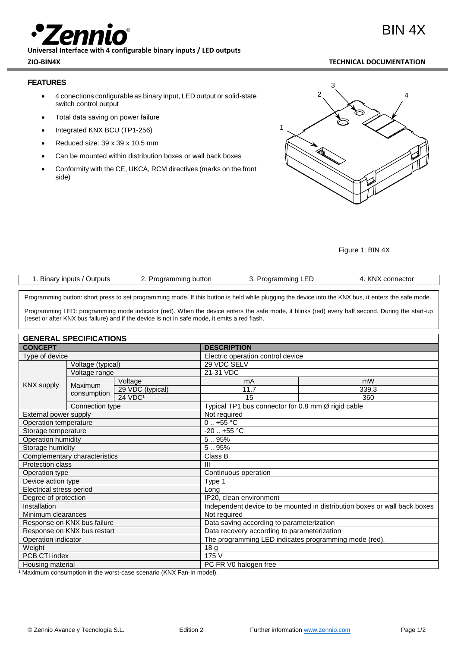# BIN 4X

**Universal Interface with 4 configurable binary inputs / LED outputs**

# **FEATURES**

- 4 conections configurable as binary input, LED output or solid-state switch control output
- Total data saving on power failure
- Integrated KNX BCU (TP1-256)
- Reduced size: 39 x 39 x 10.5 mm
- Can be mounted within distribution boxes or wall back boxes
- Conformity with the CE, UKCA, RCM directives (marks on the front side)



Figure 1: BIN 4X

| Outputs<br><b>Inputs</b><br>Binarv <sup>.</sup> | $     -$<br>button "<br>ammınç | mming<br>тап<br>.<br>--- | KN)<br>connector |
|-------------------------------------------------|--------------------------------|--------------------------|------------------|
|                                                 | ◡                              | ້                        |                  |
|                                                 |                                |                          |                  |

Programming button: short press to set programming mode. If this button is held while plugging the device into the KNX bus, it enters the safe mode.

Programming LED: programming mode indicator (red). When the device enters the safe mode, it blinks (red) every half second. During the start-up (reset or after KNX bus failure) and if the device is not in safe mode, it emits a red flash.

| <b>GENERAL SPECIFICATIONS</b> |                 |                                                                           |                                                    |       |  |  |
|-------------------------------|-----------------|---------------------------------------------------------------------------|----------------------------------------------------|-------|--|--|
| <b>CONCEPT</b>                |                 | <b>DESCRIPTION</b>                                                        |                                                    |       |  |  |
| Type of device                |                 |                                                                           | Electric operation control device                  |       |  |  |
| Voltage (typical)             |                 | 29 VDC SELV                                                               |                                                    |       |  |  |
| <b>KNX supply</b>             | Voltage range   |                                                                           | 21-31 VDC                                          |       |  |  |
|                               | Maximum         | Voltage                                                                   | mA                                                 | mW    |  |  |
|                               |                 | 29 VDC (typical)                                                          | 11.7                                               | 339.3 |  |  |
|                               | consumption     | $24$ VDC <sup>1</sup>                                                     | 15                                                 | 360   |  |  |
|                               | Connection type |                                                                           | Typical TP1 bus connector for 0.8 mm Ø rigid cable |       |  |  |
| External power supply         |                 | Not required                                                              |                                                    |       |  |  |
| Operation temperature         |                 | $0.1 + 55$ °C                                                             |                                                    |       |  |  |
| Storage temperature           |                 | $-20$ $+55$ °C                                                            |                                                    |       |  |  |
| Operation humidity            |                 | 5.95%                                                                     |                                                    |       |  |  |
| Storage humidity              |                 | 5.95%                                                                     |                                                    |       |  |  |
| Complementary characteristics |                 | Class B                                                                   |                                                    |       |  |  |
| <b>Protection class</b>       |                 | $\mathbf{III}$                                                            |                                                    |       |  |  |
| Operation type                |                 |                                                                           | Continuous operation                               |       |  |  |
| Device action type            |                 | Type 1                                                                    |                                                    |       |  |  |
| Electrical stress period      |                 | Long                                                                      |                                                    |       |  |  |
| Degree of protection          |                 | IP20, clean environment                                                   |                                                    |       |  |  |
| Installation                  |                 | Independent device to be mounted in distribution boxes or wall back boxes |                                                    |       |  |  |
| Minimum clearances            |                 | Not required                                                              |                                                    |       |  |  |
| Response on KNX bus failure   |                 | Data saving according to parameterization                                 |                                                    |       |  |  |
| Response on KNX bus restart   |                 | Data recovery according to parameterization                               |                                                    |       |  |  |
| Operation indicator           |                 | The programming LED indicates programming mode (red).                     |                                                    |       |  |  |
| Weight                        |                 | 18 g                                                                      |                                                    |       |  |  |
| PCB CTI index                 |                 | 175 V                                                                     |                                                    |       |  |  |
| Housing material              |                 | PC FR V0 halogen free                                                     |                                                    |       |  |  |

<sup>1</sup> Maximum consumption in the worst-case scenario (KNX Fan-In model).

### **ZIO-BIN4X TECHNICAL DOCUMENTATION**